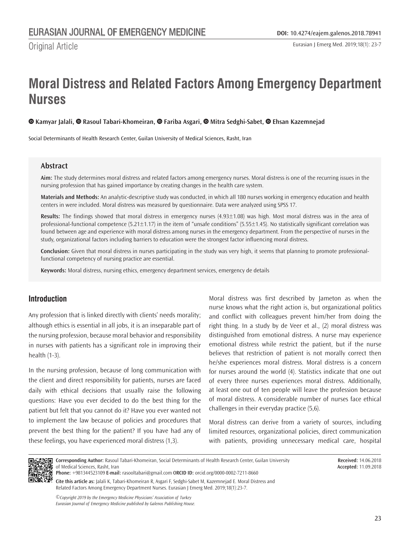Original Article

# **Moral Distress and Related Factors Among Emergency Department Nurses**

## **Kamyar Jalali,Rasoul Tabari-Khomeiran,Fariba Asgari,Mitra Sedghi-Sabet,Ehsan Kazemnejad**

Social Determinants of Health Research Center, Guilan University of Medical Sciences, Rasht, Iran

## **Abstract**

**Aim:** The study determines moral distress and related factors among emergency nurses. Moral distress is one of the recurring issues in the nursing profession that has gained importance by creating changes in the health care system.

**Materials and Methods:** An analytic-descriptive study was conducted, in which all 180 nurses working in emergency education and health centers in were included. Moral distress was measured by questionnaire. Data were analyzed using SPSS 17.

**Results:** The findings showed that moral distress in emergency nurses (4.93±1.08) was high. Most moral distress was in the area of professional-functional competence (5.21 $\pm$ 1.17) in the item of "unsafe conditions" (5.55 $\pm$ 1.45). No statistically significant correlation was found between age and experience with moral distress among nurses in the emergency department. From the perspective of nurses in the study, organizational factors including barriers to education were the strongest factor influencing moral distress.

**Conclusion:** Given that moral distress in nurses participating in the study was very high, it seems that planning to promote professionalfunctional competency of nursing practice are essential.

**Keywords:** Moral distress, nursing ethics, emergency department services, emergency de details

## **Introduction**

Any profession that is linked directly with clients' needs morality; although ethics is essential in all jobs, it is an inseparable part of the nursing profession, because moral behavior and responsibility in nurses with patients has a significant role in improving their health (1-3).

In the nursing profession, because of long communication with the client and direct responsibility for patients, nurses are faced daily with ethical decisions that usually raise the following questions: Have you ever decided to do the best thing for the patient but felt that you cannot do it? Have you ever wanted not to implement the law because of policies and procedures that prevent the best thing for the patient? If you have had any of these feelings, you have experienced moral distress (1,3).

Moral distress was first described by Jameton as when the nurse knows what the right action is, but organizational politics and conflict with colleagues prevent him/her from doing the right thing. In a study by de Veer et al., (2) moral distress was distinguished from emotional distress. A nurse may experience emotional distress while restrict the patient, but if the nurse believes that restriction of patient is not morally correct then he/she experiences moral distress. Moral distress is a concern for nurses around the world (4). Statistics indicate that one out of every three nurses experiences moral distress. Additionally, at least one out of ten people will leave the profession because of moral distress. A considerable number of nurses face ethical challenges in their everyday practice (5,6).

Moral distress can derive from a variety of sources, including limited resources, organizational policies, direct communication with patients, providing unnecessary medical care, hospital



**Corresponding Author:** Rasoul Tabari-Khomeiran, Social Determinants of Health Research Center, Guilan University of Medical Sciences, Rasht, Iran

**Phone:** +981344523109 **E-mail:** rasooltabari@gmail.com O**RCID ID:** orcid.org/0000-0002-7211-8660

**Cite this article as:** Jalali K, Tabari-Khomeiran R, Asgari F, Sedghi-Sabet M, Kazemnejad E. Moral Distress and Related Factors Among Emergency Department Nurses. Eurasian J Emerg Med. 2019;18(1):23-7.

*©Copyright 2019 by the Emergency Medicine Physicians' Association of Turkey Eurasian Journal of Emergency Medicine published by Galenos Publishing House.* **Received:** 14.06.2018 **Accepted:** 11.09.2018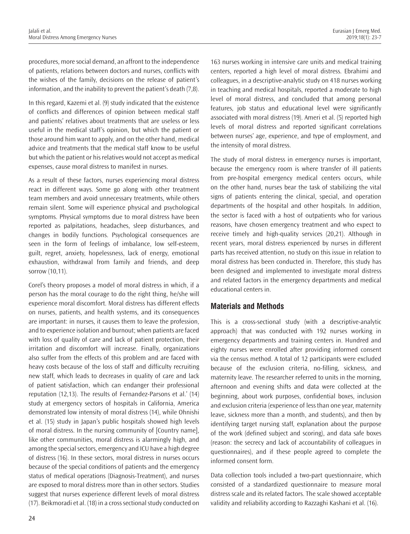procedures, more social demand, an affront to the independence of patients, relations between doctors and nurses, conflicts with the wishes of the family, decisions on the release of patient's information, and the inability to prevent the patient's death (7,8).

In this regard, Kazemi et al. (9) study indicated that the existence of conflicts and differences of opinion between medical staff and patients' relatives about treatments that are useless or less useful in the medical staff's opinion, but which the patient or those around him want to apply, and on the other hand, medical advice and treatments that the medical staff know to be useful but which the patient or his relatives would not accept as medical expenses, cause moral distress to manifest in nurses.

As a result of these factors, nurses experiencing moral distress react in different ways. Some go along with other treatment team members and avoid unnecessary treatments, while others remain silent. Some will experience physical and psychological symptoms. Physical symptoms due to moral distress have been reported as palpitations, headaches, sleep disturbances, and changes in bodily functions. Psychological consequences are seen in the form of feelings of imbalance, low self-esteem, guilt, regret, anxiety, hopelessness, lack of energy, emotional exhaustion, withdrawal from family and friends, and deep sorrow (10,11).

Corel's theory proposes a model of moral distress in which, if a person has the moral courage to do the right thing, he/she will experience moral discomfort. Moral distress has different effects on nurses, patients, and health systems, and its consequences are important: in nurses, it causes them to leave the profession, and to experience isolation and burnout; when patients are faced with loss of quality of care and lack of patient protection, their irritation and discomfort will increase. Finally, organizations also suffer from the effects of this problem and are faced with heavy costs because of the loss of staff and difficulty recruiting new staff, which leads to decreases in quality of care and lack of patient satisfaction, which can endanger their professional reputation (12,13). The results of Fernandez-Parsons et al.' (14) study at emergency sectors of hospitals in California, America demonstrated low intensity of moral distress (14), while Ohnishi et al. (15) study in Japan's public hospitals showed high levels of moral distress. In the nursing community of [Country name], like other communities, moral distress is alarmingly high, and among the special sectors, emergency and ICU have a high degree of distress (16). In these sectors, moral distress in nurses occurs because of the special conditions of patients and the emergency status of medical operations (Diagnosis-Treatment), and nurses are exposed to moral distress more than in other sectors. Studies suggest that nurses experience different levels of moral distress (17). Beikmoradi et al. (18) in a cross sectional study conducted on

163 nurses working in intensive care units and medical training centers, reported a high level of moral distress. Ebrahimi and colleagues, in a descriptive-analytic study on 418 nurses working in teaching and medical hospitals, reported a moderate to high level of moral distress, and concluded that among personal features, job status and educational level were significantly associated with moral distress (19). Ameri et al. (5) reported high levels of moral distress and reported significant correlations between nurses' age, experience, and type of employment, and the intensity of moral distress.

The study of moral distress in emergency nurses is important, because the emergency room is where transfer of ill patients from pre-hospital emergency medical centers occurs, while on the other hand, nurses bear the task of stabilizing the vital signs of patients entering the clinical, special, and operation departments of the hospital and other hospitals. In addition, the sector is faced with a host of outpatients who for various reasons, have chosen emergency treatment and who expect to receive timely and high-quality services (20,21). Although in recent years, moral distress experienced by nurses in different parts has received attention, no study on this issue in relation to moral distress has been conducted in. Therefore, this study has been designed and implemented to investigate moral distress and related factors in the emergency departments and medical educational centers in.

# **Materials and Methods**

This is a cross-sectional study (with a descriptive-analytic approach) that was conducted with 192 nurses working in emergency departments and training centers in. Hundred and eighty nurses were enrolled after providing informed consent via the census method. A total of 12 participants were excluded because of the exclusion criteria, no-filling, sickness, and maternity leave. The researcher referred to units in the morning, afternoon and evening shifts and data were collected at the beginning, about work purposes, confidential boxes, inclusion and exclusion criteria (experience of less than one year, maternity leave, sickness more than a month, and students), and then by identifying target nursing staff, explanation about the purpose of the work (defined subject and scoring), and data safe boxes (reason: the secrecy and lack of accountability of colleagues in questionnaires), and if these people agreed to complete the informed consent form.

Data collection tools included a two-part questionnaire, which consisted of a standardized questionnaire to measure moral distress scale and its related factors. The scale showed acceptable validity and reliability according to Razzaghi Kashani et al. (16).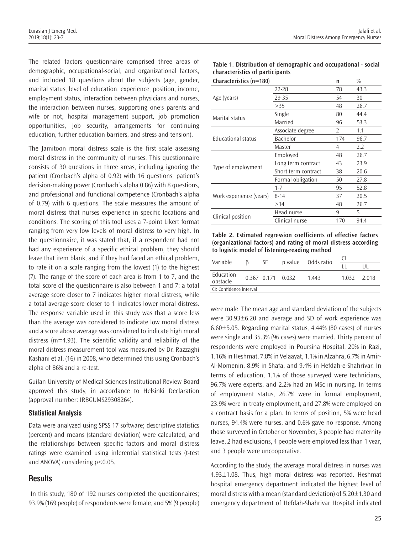Jalali et al. Moral Distress Among Emergency Nurses

The related factors questionnaire comprised three areas of demographic, occupational-social, and organizational factors, and included 18 questions about the subjects (age, gender, marital status, level of education, experience, position, income, employment status, interaction between physicians and nurses, the interaction between nurses, supporting one's parents and wife or not, hospital management support, job promotion opportunities, Job security, arrangements for continuing education, further education barriers, and stress and tension).

The Jamitoon moral distress scale is the first scale assessing moral distress in the community of nurses. This questionnaire consists of 30 questions in three areas, including ignoring the patient (Cronbach's alpha of 0.92) with 16 questions, patient's decision-making power (Cronbach's alpha 0.86) with 8 questions, and professional and functional competence (Cronbach's alpha of 0.79) with 6 questions. The scale measures the amount of moral distress that nurses experience in specific locations and conditions. The scoring of this tool uses a 7-point Likert format ranging from very low levels of moral distress to very high. In the questionnaire, it was stated that, if a respondent had not had any experience of a specific ethical problem, they should leave that item blank, and if they had faced an ethical problem, to rate it on a scale ranging from the lowest (1) to the highest (7). The range of the score of each area is from 1 to 7, and the total score of the questionnaire is also between 1 and 7; a total average score closer to 7 indicates higher moral distress, while a total average score closer to 1 indicates lower moral distress. The response variable used in this study was that a score less than the average was considered to indicate low moral distress and a score above average was considered to indicate high moral distress (m=4.93). The scientific validity and reliability of the moral distress measurement tool was measured by Dr. Razzaghi Kashani et al. (16) in 2008, who determined this using Cronbach's alpha of 86% and a re-test.

Guilan University of Medical Sciences Institutional Review Board approved this study, in accordance to Helsinki Declaration (approval number: IRBGUMS29308264).

## **Statistical Analysis**

Data were analyzed using SPSS 17 software; descriptive statistics (percent) and means (standard deviation) were calculated, and the relationships between specific factors and moral distress ratings were examined using inferential statistical tests (t-test and ANOVA) considering p<0.05.

## **Results**

 In this study, 180 of 192 nurses completed the questionnaires; 93.9% (169 people) of respondents were female, and 5% (9 people)

| Table 1. Distribution of demographic and occupational - social |
|----------------------------------------------------------------|
| characteristics of participants                                |

| Characteristics (n=180) |                     |     | $\frac{0}{0}$ |
|-------------------------|---------------------|-----|---------------|
| Age (years)             | $22 - 28$           | 78  | 43.3          |
|                         | 29-35               | 54  | 30            |
|                         | >35                 | 48  | 26.7          |
| Marital status          | Single              | 80  | 44.4          |
|                         | Married             | 96  | 53.3          |
| Educational status      | Associate degree    | 2   | 1.1           |
|                         | Bachelor            | 174 | 96.7          |
|                         | Master              | 4   | 2.2           |
| Type of employment      | Employed            | 48  | 26.7          |
|                         | Long term contract  | 43  | 23.9          |
|                         | Short term contract | 38  | 20.6          |
|                         | Formal obligation   | 50  | 27.8          |
| Work experience (years) | $1 - 7$             | 95  | 52.8          |
|                         | $8 - 14$            | 37  | 20.5          |
|                         | >14                 | 48  | 26.7          |
|                         | Head nurse          | 9   | 5             |
| Clinical position       | Clinical nurse      | 170 | 94.4          |

**Table 2. Estimated regression coefficients of effective factors (organizational factors) and rating of moral distress according to logistic model of listening-reading method**

| Variable                | 13 | SE 5              |  | p value Odds ratio |             |  |  |  |
|-------------------------|----|-------------------|--|--------------------|-------------|--|--|--|
|                         |    |                   |  |                    |             |  |  |  |
| Education<br>obstacle   |    | 0.367 0.171 0.032 |  | 1.443              | 1.032 2.018 |  |  |  |
| CI: Confidence interval |    |                   |  |                    |             |  |  |  |

were male. The mean age and standard deviation of the subjects were 30.93±6.20 and average and SD of work experience was 6.60±5.05. Regarding marital status, 4.44% (80 cases) of nurses were single and 35.3% (96 cases) were married. Thirty percent of respondents were employed in Poursina Hospital, 20% in Razi, 1.16% in Heshmat, 7.8% in Velaayat, 1.1% in Alzahra, 6.7% in Amir-Al-Momenin, 8.9% in Shafa, and 9.4% in Hefdah-e-Shahrivar. In terms of education, 1.1% of those surveyed were technicians, 96.7% were experts, and 2.2% had an MSc in nursing. In terms of employment status, 26.7% were in formal employment, 23.9% were in treaty employment, and 27.8% were employed on a contract basis for a plan. In terms of position, 5% were head nurses, 94.4% were nurses, and 0.6% gave no response. Among those surveyed in October or November, 3 people had maternity leave, 2 had exclusions, 4 people were employed less than 1 year, and 3 people were uncooperative.

According to the study, the average moral distress in nurses was  $4.93\pm1.08$ . Thus, high moral distress was reported. Heshmat hospital emergency department indicated the highest level of moral distress with a mean (standard deviation) of 5.20±1.30 and emergency department of Hefdah-Shahrivar Hospital indicated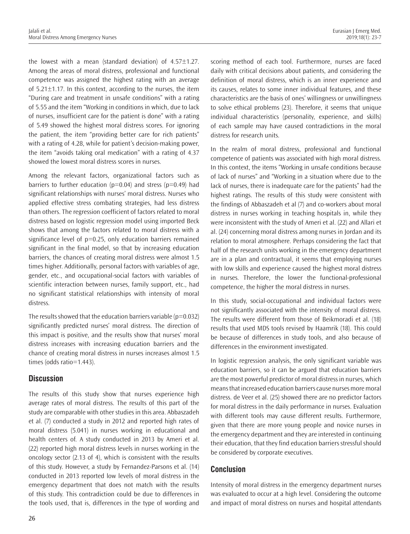the lowest with a mean (standard deviation) of 4.57±1.27. Among the areas of moral distress, professional and functional competence was assigned the highest rating with an average of 5.21±1.17. In this context, according to the nurses, the item "During care and treatment in unsafe conditions" with a rating of 5.55 and the item "Working in conditions in which, due to lack of nurses, insufficient care for the patient is done" with a rating of 5.49 showed the highest moral distress scores. For ignoring the patient, the item "providing better care for rich patients" with a rating of 4.28, while for patient's decision-making power, the item "avoids taking oral medication" with a rating of 4.37 showed the lowest moral distress scores in nurses.

Among the relevant factors, organizational factors such as barriers to further education ( $p=0.04$ ) and stress ( $p=0.49$ ) had significant relationships with nurses' moral distress. Nurses who applied effective stress combating strategies, had less distress than others. The regression coefficient of factors related to moral distress based on logistic regression model using imported Beck shows that among the factors related to moral distress with a significance level of  $p=0.25$ , only education barriers remained significant in the final model, so that by increasing education barriers, the chances of creating moral distress were almost 1.5 times higher. Additionally, personal factors with variables of age, gender, etc., and occupational-social factors with variables of scientific interaction between nurses, family support, etc., had no significant statistical relationships with intensity of moral distress.

The results showed that the education barriers variable ( $p=0.032$ ) significantly predicted nurses' moral distress. The direction of this impact is positive, and the results show that nurses' moral distress increases with increasing education barriers and the chance of creating moral distress in nurses increases almost 1.5 times (odds ratio=1.443).

# **Discussion**

The results of this study show that nurses experience high average rates of moral distress. The results of this part of the study are comparable with other studies in this area. Abbaszadeh et al. (7) conducted a study in 2012 and reported high rates of moral distress (5.041) in nurses working in educational and health centers of. A study conducted in 2013 by Ameri et al. (22) reported high moral distress levels in nurses working in the oncology sector (2.13 of 4), which is consistent with the results of this study. However, a study by Fernandez-Parsons et al. (14) conducted in 2013 reported low levels of moral distress in the emergency department that does not match with the results of this study. This contradiction could be due to differences in the tools used, that is, differences in the type of wording and

scoring method of each tool. Furthermore, nurses are faced daily with critical decisions about patients, and considering the definition of moral distress, which is an inner experience and its causes, relates to some inner individual features, and these characteristics are the basis of ones' willingness or unwillingness to solve ethical problems (23). Therefore, it seems that unique individual characteristics (personality, experience, and skills) of each sample may have caused contradictions in the moral distress for research units.

In the realm of moral distress, professional and functional competence of patients was associated with high moral distress. In this context, the items "Working in unsafe conditions because of lack of nurses" and "Working in a situation where due to the lack of nurses, there is inadequate care for the patients" had the highest ratings. The results of this study were consistent with the findings of Abbaszadeh et al (7) and co-workers about moral distress in nurses working in teaching hospitals in, while they were inconsistent with the study of Ameri et al. (22) and Allari et al. (24) concerning moral distress among nurses in Jordan and its relation to moral atmosphere. Perhaps considering the fact that half of the research units working in the emergency department are in a plan and contractual, it seems that employing nurses with low skills and experience caused the highest moral distress in nurses. Therefore, the lower the functional-professional competence, the higher the moral distress in nurses.

In this study, social-occupational and individual factors were not significantly associated with the intensity of moral distress. The results were different from those of Beikmoradi et al. (18) results that used MDS tools revised by Haamrik (18). This could be because of differences in study tools, and also because of differences in the environment investigated.

In logistic regression analysis, the only significant variable was education barriers, so it can be argued that education barriers are the most powerful predictor of moral distress in nurses, which means that increased education barriers cause nurses more moral distress. de Veer et al. (25) showed there are no predictor factors for moral distress in the daily performance in nurses. Evaluation with different tools may cause different results. Furthermore, given that there are more young people and novice nurses in the emergency department and they are interested in continuing their education, that they find education barriers stressful should be considered by corporate executives.

# **Conclusion**

Intensity of moral distress in the emergency department nurses was evaluated to occur at a high level. Considering the outcome and impact of moral distress on nurses and hospital attendants